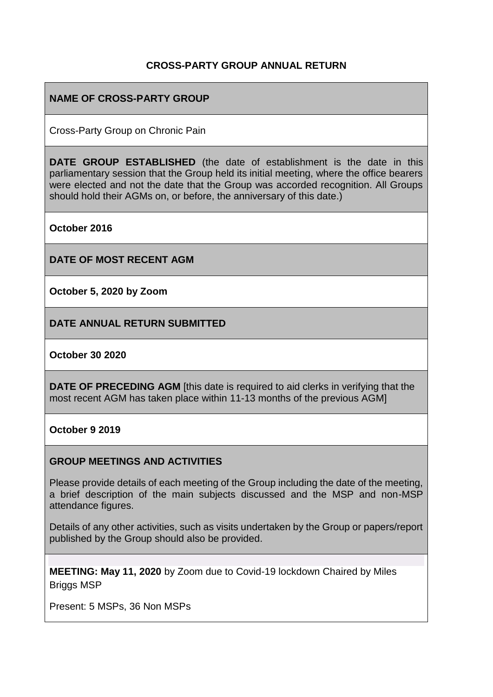### **CROSS-PARTY GROUP ANNUAL RETURN**

### **NAME OF CROSS-PARTY GROUP**

Cross-Party Group on Chronic Pain

**DATE GROUP ESTABLISHED** (the date of establishment is the date in this parliamentary session that the Group held its initial meeting, where the office bearers were elected and not the date that the Group was accorded recognition. All Groups should hold their AGMs on, or before, the anniversary of this date.)

**October 2016**

**DATE OF MOST RECENT AGM**

**October 5, 2020 by Zoom**

**DATE ANNUAL RETURN SUBMITTED**

#### **October 30 2020**

**DATE OF PRECEDING AGM** [this date is required to aid clerks in verifying that the most recent AGM has taken place within 11-13 months of the previous AGM]

#### **October 9 2019**

#### **GROUP MEETINGS AND ACTIVITIES**

Please provide details of each meeting of the Group including the date of the meeting, a brief description of the main subjects discussed and the MSP and non-MSP attendance figures.

Details of any other activities, such as visits undertaken by the Group or papers/report published by the Group should also be provided.

**MEETING: May 11, 2020** by Zoom due to Covid-19 lockdown Chaired by Miles Briggs MSP

Present: 5 MSPs, 36 Non MSPs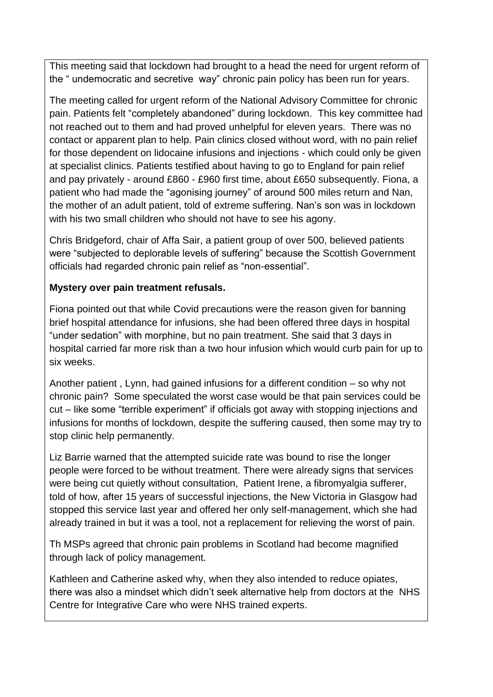This meeting said that lockdown had brought to a head the need for urgent reform of the " undemocratic and secretive way" chronic pain policy has been run for years.

The meeting called for urgent reform of the National Advisory Committee for chronic pain. Patients felt "completely abandoned" during lockdown. This key committee had not reached out to them and had proved unhelpful for eleven years. There was no contact or apparent plan to help. Pain clinics closed without word, with no pain relief for those dependent on lidocaine infusions and injections - which could only be given at specialist clinics. Patients testified about having to go to England for pain relief and pay privately - around £860 - £960 first time, about £650 subsequently. Fiona, a patient who had made the "agonising journey" of around 500 miles return and Nan, the mother of an adult patient, told of extreme suffering. Nan's son was in lockdown with his two small children who should not have to see his agony.

Chris Bridgeford, chair of Affa Sair, a patient group of over 500, believed patients were "subjected to deplorable levels of suffering" because the Scottish Government officials had regarded chronic pain relief as "non-essential".

### **Mystery over pain treatment refusals.**

Fiona pointed out that while Covid precautions were the reason given for banning brief hospital attendance for infusions, she had been offered three days in hospital "under sedation" with morphine, but no pain treatment. She said that 3 days in hospital carried far more risk than a two hour infusion which would curb pain for up to six weeks.

Another patient , Lynn, had gained infusions for a different condition – so why not chronic pain? Some speculated the worst case would be that pain services could be cut – like some "terrible experiment" if officials got away with stopping injections and infusions for months of lockdown, despite the suffering caused, then some may try to stop clinic help permanently.

Liz Barrie warned that the attempted suicide rate was bound to rise the longer people were forced to be without treatment. There were already signs that services were being cut quietly without consultation, Patient Irene, a fibromyalgia sufferer, told of how, after 15 years of successful injections, the New Victoria in Glasgow had stopped this service last year and offered her only self-management, which she had already trained in but it was a tool, not a replacement for relieving the worst of pain.

Th MSPs agreed that chronic pain problems in Scotland had become magnified through lack of policy management.

Kathleen and Catherine asked why, when they also intended to reduce opiates, there was also a mindset which didn't seek alternative help from doctors at the NHS Centre for Integrative Care who were NHS trained experts.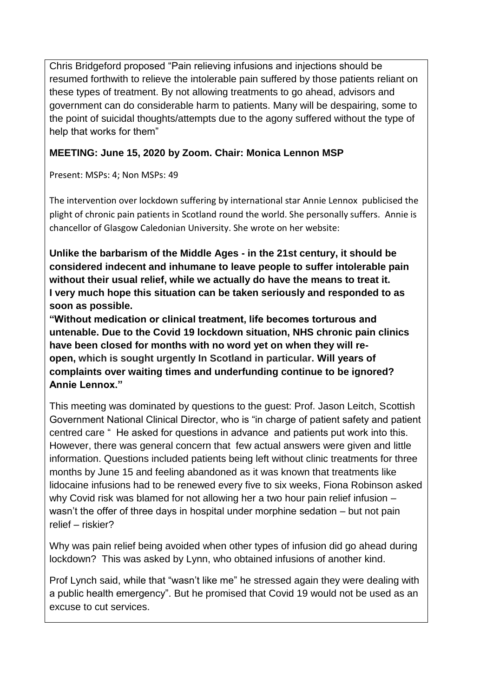Chris Bridgeford proposed "Pain relieving infusions and injections should be resumed forthwith to relieve the intolerable pain suffered by those patients reliant on these types of treatment. By not allowing treatments to go ahead, advisors and government can do considerable harm to patients. Many will be despairing, some to the point of suicidal thoughts/attempts due to the agony suffered without the type of help that works for them"

# **MEETING: June 15, 2020 by Zoom. Chair: Monica Lennon MSP**

Present: MSPs: 4; Non MSPs: 49

The intervention over lockdown suffering by international star Annie Lennox publicised the plight of chronic pain patients in Scotland round the world. She personally suffers. Annie is chancellor of Glasgow Caledonian University. She wrote on her website:

**Unlike the barbarism of the Middle Ages - in the 21st century, it should be considered indecent and inhumane to leave people to suffer intolerable pain without their usual relief, while we actually do have the means to treat it. I very much hope this situation can be taken seriously and responded to as soon as possible.**

**"Without medication or clinical treatment, life becomes torturous and untenable. Due to the Covid 19 lockdown situation, NHS chronic pain clinics have been closed for months with no word yet on when they will reopen, which is sought urgently In Scotland in particular. Will years of complaints over waiting times and underfunding continue to be ignored? Annie Lennox."**

This meeting was dominated by questions to the guest: Prof. Jason Leitch, Scottish Government National Clinical Director, who is "in charge of patient safety and patient centred care " He asked for questions in advance and patients put work into this. However, there was general concern that few actual answers were given and little information. Questions included patients being left without clinic treatments for three months by June 15 and feeling abandoned as it was known that treatments like lidocaine infusions had to be renewed every five to six weeks, Fiona Robinson asked why Covid risk was blamed for not allowing her a two hour pain relief infusion – wasn't the offer of three days in hospital under morphine sedation – but not pain relief – riskier?

Why was pain relief being avoided when other types of infusion did go ahead during lockdown? This was asked by Lynn, who obtained infusions of another kind.

Prof Lynch said, while that "wasn't like me" he stressed again they were dealing with a public health emergency". But he promised that Covid 19 would not be used as an excuse to cut services.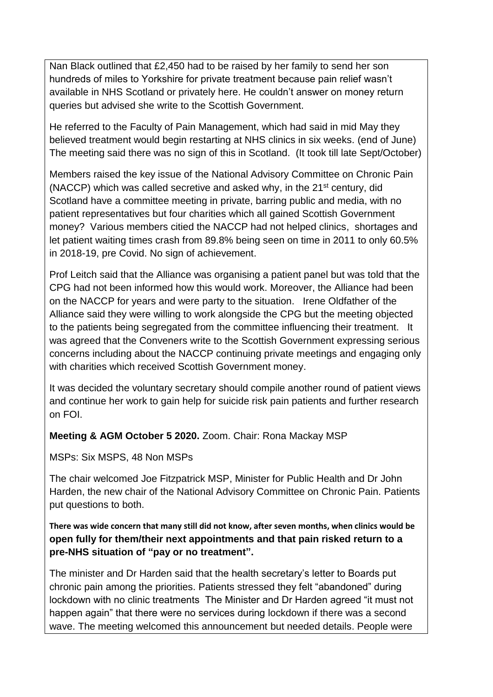Nan Black outlined that £2,450 had to be raised by her family to send her son hundreds of miles to Yorkshire for private treatment because pain relief wasn't available in NHS Scotland or privately here. He couldn't answer on money return queries but advised she write to the Scottish Government.

He referred to the Faculty of Pain Management, which had said in mid May they believed treatment would begin restarting at NHS clinics in six weeks. (end of June) The meeting said there was no sign of this in Scotland. (It took till late Sept/October)

Members raised the key issue of the National Advisory Committee on Chronic Pain (NACCP) which was called secretive and asked why, in the 21<sup>st</sup> century, did Scotland have a committee meeting in private, barring public and media, with no patient representatives but four charities which all gained Scottish Government money? Various members citied the NACCP had not helped clinics, shortages and let patient waiting times crash from 89.8% being seen on time in 2011 to only 60.5% in 2018-19, pre Covid. No sign of achievement.

Prof Leitch said that the Alliance was organising a patient panel but was told that the CPG had not been informed how this would work. Moreover, the Alliance had been on the NACCP for years and were party to the situation. Irene Oldfather of the Alliance said they were willing to work alongside the CPG but the meeting objected to the patients being segregated from the committee influencing their treatment. It was agreed that the Conveners write to the Scottish Government expressing serious concerns including about the NACCP continuing private meetings and engaging only with charities which received Scottish Government money.

It was decided the voluntary secretary should compile another round of patient views and continue her work to gain help for suicide risk pain patients and further research on FOI.

### **Meeting & AGM October 5 2020.** Zoom. Chair: Rona Mackay MSP

MSPs: Six MSPS, 48 Non MSPs

The chair welcomed Joe Fitzpatrick MSP, Minister for Public Health and Dr John Harden, the new chair of the National Advisory Committee on Chronic Pain. Patients put questions to both.

**There was wide concern that many still did not know, after seven months, when clinics would be open fully for them/their next appointments and that pain risked return to a pre-NHS situation of "pay or no treatment".** 

The minister and Dr Harden said that the health secretary's letter to Boards put chronic pain among the priorities. Patients stressed they felt "abandoned" during lockdown with no clinic treatments The Minister and Dr Harden agreed "it must not happen again" that there were no services during lockdown if there was a second wave. The meeting welcomed this announcement but needed details. People were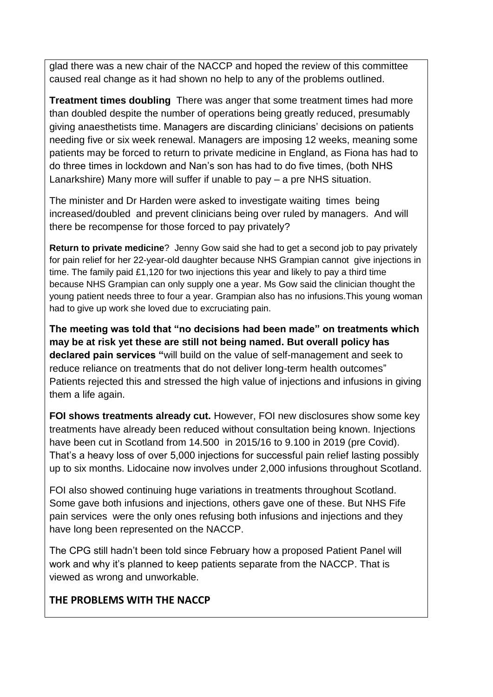glad there was a new chair of the NACCP and hoped the review of this committee caused real change as it had shown no help to any of the problems outlined.

**Treatment times doubling** There was anger that some treatment times had more than doubled despite the number of operations being greatly reduced, presumably giving anaesthetists time. Managers are discarding clinicians' decisions on patients needing five or six week renewal. Managers are imposing 12 weeks, meaning some patients may be forced to return to private medicine in England, as Fiona has had to do three times in lockdown and Nan's son has had to do five times, (both NHS Lanarkshire) Many more will suffer if unable to pay – a pre NHS situation.

The minister and Dr Harden were asked to investigate waiting times being increased/doubled and prevent clinicians being over ruled by managers. And will there be recompense for those forced to pay privately?

**Return to private medicine**? Jenny Gow said she had to get a second job to pay privately for pain relief for her 22-year-old daughter because NHS Grampian cannot give injections in time. The family paid £1,120 for two injections this year and likely to pay a third time because NHS Grampian can only supply one a year. Ms Gow said the clinician thought the young patient needs three to four a year. Grampian also has no infusions.This young woman had to give up work she loved due to excruciating pain.

**The meeting was told that "no decisions had been made" on treatments which may be at risk yet these are still not being named. But overall policy has declared pain services "**will build on the value of self-management and seek to reduce reliance on treatments that do not deliver long-term health outcomes" Patients rejected this and stressed the high value of injections and infusions in giving them a life again.

**FOI shows treatments already cut.** However, FOI new disclosures show some key treatments have already been reduced without consultation being known. Injections have been cut in Scotland from 14.500 in 2015/16 to 9.100 in 2019 (pre Covid). That's a heavy loss of over 5,000 injections for successful pain relief lasting possibly up to six months. Lidocaine now involves under 2,000 infusions throughout Scotland.

FOI also showed continuing huge variations in treatments throughout Scotland. Some gave both infusions and injections, others gave one of these. But NHS Fife pain services were the only ones refusing both infusions and injections and they have long been represented on the NACCP.

The CPG still hadn't been told since February how a proposed Patient Panel will work and why it's planned to keep patients separate from the NACCP. That is viewed as wrong and unworkable.

# **THE PROBLEMS WITH THE NACCP**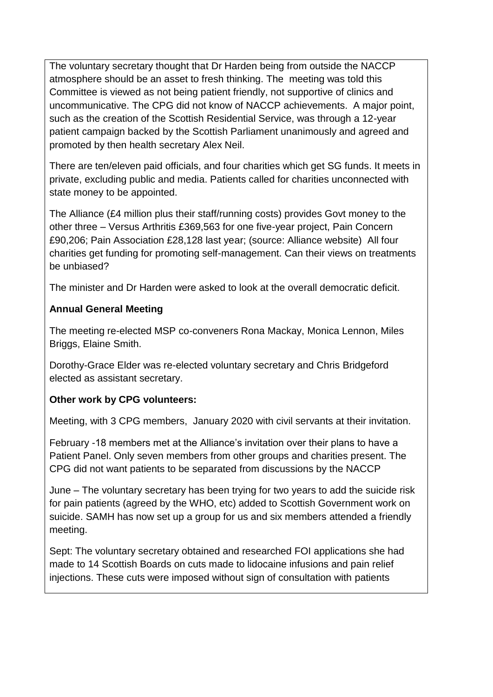The voluntary secretary thought that Dr Harden being from outside the NACCP atmosphere should be an asset to fresh thinking. The meeting was told this Committee is viewed as not being patient friendly, not supportive of clinics and uncommunicative. The CPG did not know of NACCP achievements. A major point, such as the creation of the Scottish Residential Service, was through a 12-year patient campaign backed by the Scottish Parliament unanimously and agreed and promoted by then health secretary Alex Neil.

There are ten/eleven paid officials, and four charities which get SG funds. It meets in private, excluding public and media. Patients called for charities unconnected with state money to be appointed.

The Alliance (£4 million plus their staff/running costs) provides Govt money to the other three – Versus Arthritis £369,563 for one five-year project, Pain Concern £90,206; Pain Association £28,128 last year; (source: Alliance website) All four charities get funding for promoting self-management. Can their views on treatments be unbiased?

The minister and Dr Harden were asked to look at the overall democratic deficit.

# **Annual General Meeting**

The meeting re-elected MSP co-conveners Rona Mackay, Monica Lennon, Miles Briggs, Elaine Smith.

Dorothy-Grace Elder was re-elected voluntary secretary and Chris Bridgeford elected as assistant secretary.

# **Other work by CPG volunteers:**

Meeting, with 3 CPG members, January 2020 with civil servants at their invitation.

February -18 members met at the Alliance's invitation over their plans to have a Patient Panel. Only seven members from other groups and charities present. The CPG did not want patients to be separated from discussions by the NACCP

June – The voluntary secretary has been trying for two years to add the suicide risk for pain patients (agreed by the WHO, etc) added to Scottish Government work on suicide. SAMH has now set up a group for us and six members attended a friendly meeting.

Sept: The voluntary secretary obtained and researched FOI applications she had made to 14 Scottish Boards on cuts made to lidocaine infusions and pain relief injections. These cuts were imposed without sign of consultation with patients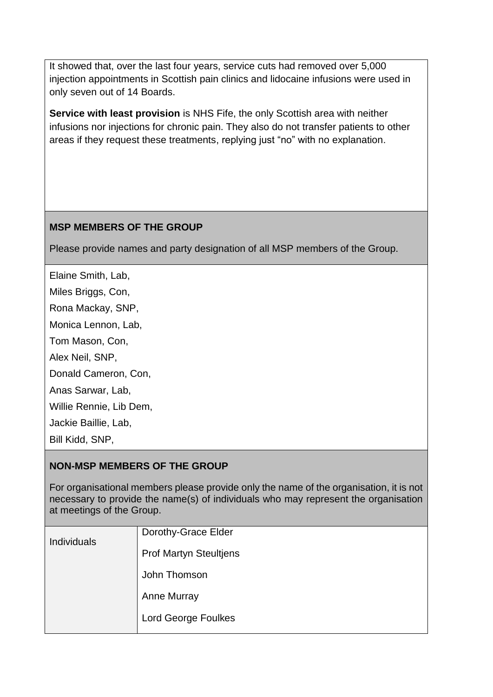It showed that, over the last four years, service cuts had removed over 5,000 injection appointments in Scottish pain clinics and lidocaine infusions were used in only seven out of 14 Boards.

**Service with least provision** is NHS Fife, the only Scottish area with neither infusions nor injections for chronic pain. They also do not transfer patients to other areas if they request these treatments, replying just "no" with no explanation.

### **MSP MEMBERS OF THE GROUP**

Please provide names and party designation of all MSP members of the Group.

- Elaine Smith, Lab,
- Miles Briggs, Con,
- Rona Mackay, SNP,
- Monica Lennon, Lab,
- Tom Mason, Con,
- Alex Neil, SNP,
- Donald Cameron, Con,
- Anas Sarwar, Lab,
- Willie Rennie, Lib Dem,
- Jackie Baillie, Lab,
- Bill Kidd, SNP,

# **NON-MSP MEMBERS OF THE GROUP**

For organisational members please provide only the name of the organisation, it is not necessary to provide the name(s) of individuals who may represent the organisation at meetings of the Group.

| Individuals | Dorothy-Grace Elder           |
|-------------|-------------------------------|
|             | <b>Prof Martyn Steultjens</b> |
|             | John Thomson                  |
|             | <b>Anne Murray</b>            |
|             | <b>Lord George Foulkes</b>    |
|             |                               |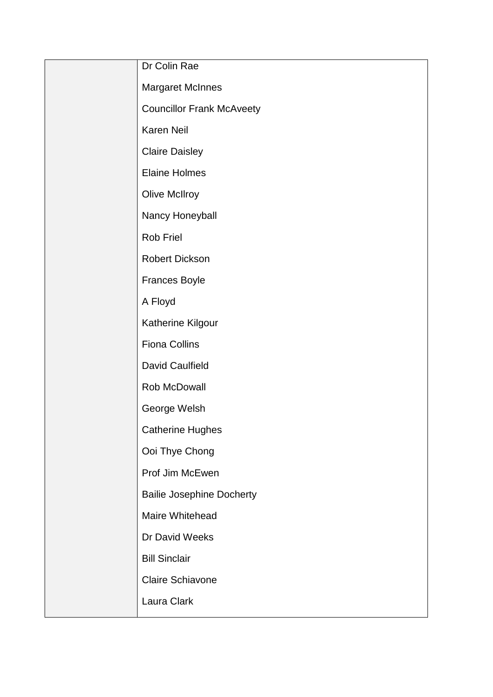| Dr Colin Rae                     |
|----------------------------------|
| <b>Margaret McInnes</b>          |
| <b>Councillor Frank McAveety</b> |
| Karen Neil                       |
| <b>Claire Daisley</b>            |
| <b>Elaine Holmes</b>             |
| <b>Olive McIlroy</b>             |
| Nancy Honeyball                  |
| Rob Friel                        |
| <b>Robert Dickson</b>            |
| <b>Frances Boyle</b>             |
| A Floyd                          |
| Katherine Kilgour                |
| <b>Fiona Collins</b>             |
| David Caulfield                  |
| Rob McDowall                     |
| George Welsh                     |
| <b>Catherine Hughes</b>          |
| Ooi Thye Chong                   |
| Prof Jim McEwen                  |
| <b>Bailie Josephine Docherty</b> |
| Maire Whitehead                  |
| Dr David Weeks                   |
| <b>Bill Sinclair</b>             |
| Claire Schiavone                 |
| Laura Clark                      |
|                                  |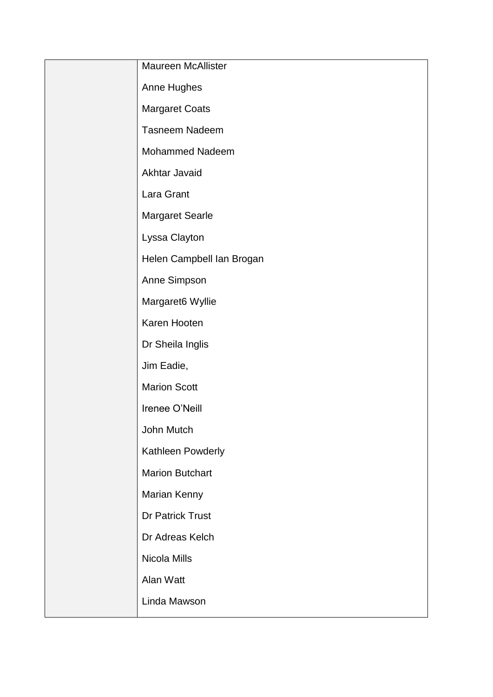| <b>Maureen McAllister</b> |
|---------------------------|
| Anne Hughes               |
| <b>Margaret Coats</b>     |
| <b>Tasneem Nadeem</b>     |
| <b>Mohammed Nadeem</b>    |
| Akhtar Javaid             |
| Lara Grant                |
| <b>Margaret Searle</b>    |
| Lyssa Clayton             |
| Helen Campbell Ian Brogan |
| Anne Simpson              |
| Margaret6 Wyllie          |
| Karen Hooten              |
| Dr Sheila Inglis          |
| Jim Eadie,                |
| <b>Marion Scott</b>       |
| Irenee O'Neill            |
| John Mutch                |
| Kathleen Powderly         |
| <b>Marion Butchart</b>    |
| Marian Kenny              |
| <b>Dr Patrick Trust</b>   |
| Dr Adreas Kelch           |
| Nicola Mills              |
| Alan Watt                 |
| Linda Mawson              |
|                           |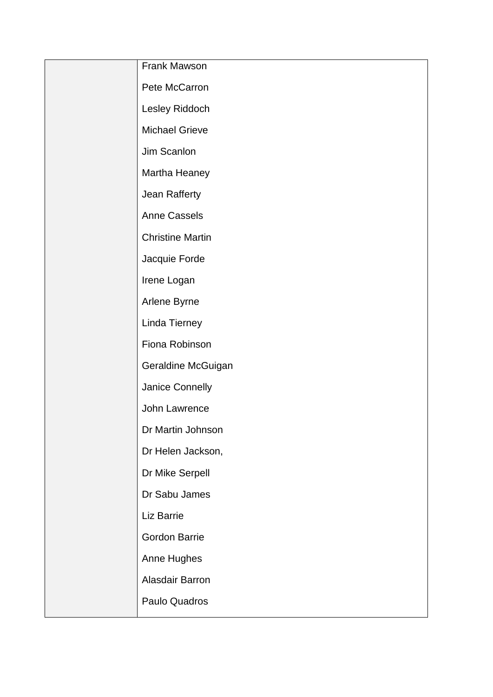| Frank Mawson            |
|-------------------------|
| Pete McCarron           |
| Lesley Riddoch          |
| <b>Michael Grieve</b>   |
| Jim Scanlon             |
| Martha Heaney           |
| Jean Rafferty           |
| <b>Anne Cassels</b>     |
| <b>Christine Martin</b> |
| Jacquie Forde           |
| Irene Logan             |
| Arlene Byrne            |
| Linda Tierney           |
| Fiona Robinson          |
| Geraldine McGuigan      |
| Janice Connelly         |
| John Lawrence           |
| Dr Martin Johnson       |
| Dr Helen Jackson,       |
| Dr Mike Serpell         |
| Dr Sabu James           |
| Liz Barrie              |
| <b>Gordon Barrie</b>    |
| Anne Hughes             |
| Alasdair Barron         |
| Paulo Quadros           |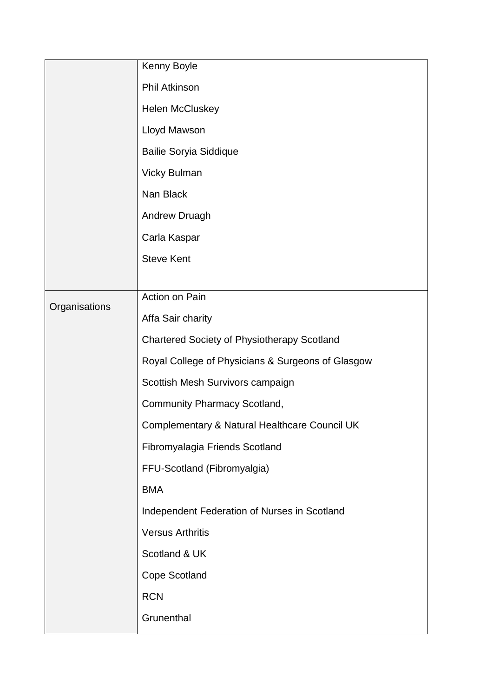|               | Kenny Boyle                                        |
|---------------|----------------------------------------------------|
|               | <b>Phil Atkinson</b>                               |
|               | <b>Helen McCluskey</b>                             |
|               | Lloyd Mawson                                       |
|               | <b>Bailie Soryia Siddique</b>                      |
|               | <b>Vicky Bulman</b>                                |
|               | Nan Black                                          |
|               | <b>Andrew Druagh</b>                               |
|               | Carla Kaspar                                       |
|               | <b>Steve Kent</b>                                  |
|               |                                                    |
| Organisations | Action on Pain                                     |
|               | Affa Sair charity                                  |
|               | <b>Chartered Society of Physiotherapy Scotland</b> |
|               | Royal College of Physicians & Surgeons of Glasgow  |
|               | Scottish Mesh Survivors campaign                   |
|               | <b>Community Pharmacy Scotland,</b>                |
|               | Complementary & Natural Healthcare Council UK      |
|               | Fibromyalagia Friends Scotland                     |
|               | FFU-Scotland (Fibromyalgia)                        |
|               | <b>BMA</b>                                         |
|               | Independent Federation of Nurses in Scotland       |
|               | <b>Versus Arthritis</b>                            |
|               | Scotland & UK                                      |
|               | <b>Cope Scotland</b>                               |
|               | <b>RCN</b>                                         |
|               | Grunenthal                                         |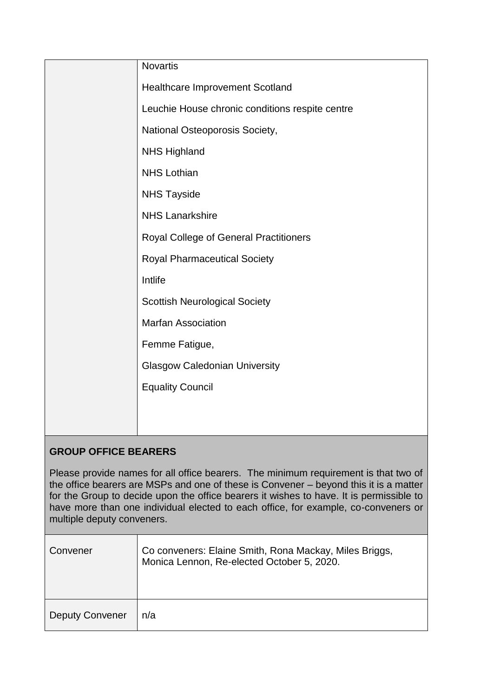|         | <b>Novartis</b>                                 |
|---------|-------------------------------------------------|
|         | <b>Healthcare Improvement Scotland</b>          |
|         | Leuchie House chronic conditions respite centre |
|         | National Osteoporosis Society,                  |
|         | <b>NHS Highland</b>                             |
|         | <b>NHS Lothian</b>                              |
|         | <b>NHS Tayside</b>                              |
|         | <b>NHS Lanarkshire</b>                          |
|         | Royal College of General Practitioners          |
|         | <b>Royal Pharmaceutical Society</b>             |
|         | Intlife                                         |
|         | <b>Scottish Neurological Society</b>            |
|         | <b>Marfan Association</b>                       |
|         | Femme Fatigue,                                  |
|         | <b>Glasgow Caledonian University</b>            |
|         | <b>Equality Council</b>                         |
|         |                                                 |
|         |                                                 |
| DAIID 4 |                                                 |

# **GROUP OFFICE BEARERS**

Please provide names for all office bearers. The minimum requirement is that two of the office bearers are MSPs and one of these is Convener – beyond this it is a matter for the Group to decide upon the office bearers it wishes to have. It is permissible to have more than one individual elected to each office, for example, co-conveners or multiple deputy conveners.

| Convener               | Co conveners: Elaine Smith, Rona Mackay, Miles Briggs,<br>Monica Lennon, Re-elected October 5, 2020. |
|------------------------|------------------------------------------------------------------------------------------------------|
| <b>Deputy Convener</b> | n/a                                                                                                  |